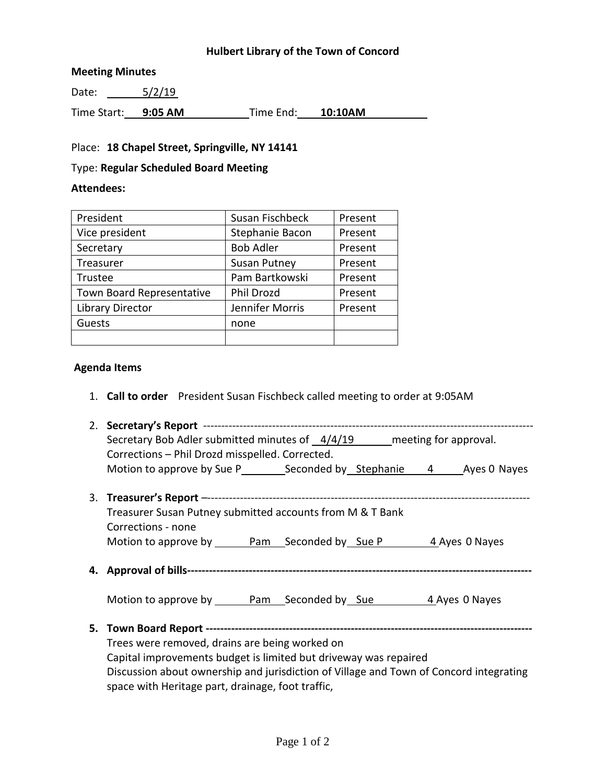# **Hulbert Library of the Town of Concord**

### **Meeting Minutes**

Date:  $\frac{5/2}{19}$ 

Time Start: **9:05 AM** Time End: **10:10AM**

### Place: **18 Chapel Street, Springville, NY 14141**

# Type: **Regular Scheduled Board Meeting**

#### **Attendees:**

| President                 | Susan Fischbeck     | Present |
|---------------------------|---------------------|---------|
| Vice president            | Stephanie Bacon     | Present |
| Secretary                 | <b>Bob Adler</b>    | Present |
| Treasurer                 | <b>Susan Putney</b> | Present |
| Trustee                   | Pam Bartkowski      | Present |
| Town Board Representative | Phil Drozd          | Present |
| <b>Library Director</b>   | Jennifer Morris     | Present |
| Guests                    | none                |         |
|                           |                     |         |

### **Agenda Items**

1. **Call to order** President Susan Fischbeck called meeting to order at 9:05AM

| Secretary Bob Adler submitted minutes of 4/4/19 meeting for approval.                  |  |  |
|----------------------------------------------------------------------------------------|--|--|
| Corrections - Phil Drozd misspelled. Corrected.                                        |  |  |
|                                                                                        |  |  |
|                                                                                        |  |  |
|                                                                                        |  |  |
| Treasurer Susan Putney submitted accounts from M & T Bank                              |  |  |
| Corrections - none                                                                     |  |  |
|                                                                                        |  |  |
|                                                                                        |  |  |
|                                                                                        |  |  |
|                                                                                        |  |  |
|                                                                                        |  |  |
|                                                                                        |  |  |
|                                                                                        |  |  |
| Trees were removed, drains are being worked on                                         |  |  |
| Capital improvements budget is limited but driveway was repaired                       |  |  |
|                                                                                        |  |  |
| Discussion about ownership and jurisdiction of Village and Town of Concord integrating |  |  |